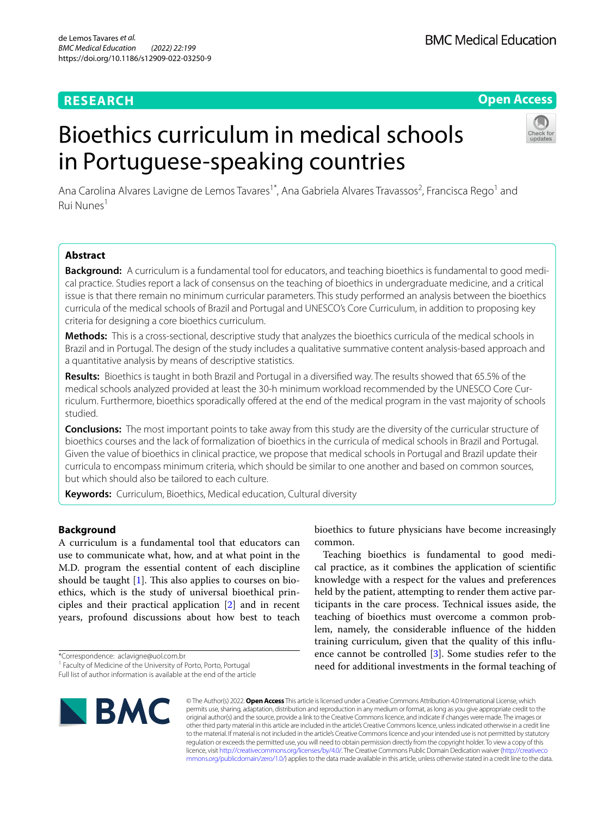# **RESEARCH**

## **Open Access**

# Bioethics curriculum in medical schools in Portuguese-speaking countries



Ana Carolina Alvares Lavigne de Lemos Tavares<sup>1\*</sup>, Ana Gabriela Alvares Travassos<sup>2</sup>, Francisca Rego<sup>1</sup> and Rui Nunes<sup>1</sup>

## **Abstract**

**Background:** A curriculum is a fundamental tool for educators, and teaching bioethics is fundamental to good medical practice. Studies report a lack of consensus on the teaching of bioethics in undergraduate medicine, and a critical issue is that there remain no minimum curricular parameters. This study performed an analysis between the bioethics curricula of the medical schools of Brazil and Portugal and UNESCO's Core Curriculum, in addition to proposing key criteria for designing a core bioethics curriculum.

**Methods:** This is a cross-sectional, descriptive study that analyzes the bioethics curricula of the medical schools in Brazil and in Portugal. The design of the study includes a qualitative summative content analysis-based approach and a quantitative analysis by means of descriptive statistics.

**Results:** Bioethics is taught in both Brazil and Portugal in a diversifed way. The results showed that 65.5% of the medical schools analyzed provided at least the 30-h minimum workload recommended by the UNESCO Core Curriculum. Furthermore, bioethics sporadically ofered at the end of the medical program in the vast majority of schools studied.

**Conclusions:** The most important points to take away from this study are the diversity of the curricular structure of bioethics courses and the lack of formalization of bioethics in the curricula of medical schools in Brazil and Portugal. Given the value of bioethics in clinical practice, we propose that medical schools in Portugal and Brazil update their curricula to encompass minimum criteria, which should be similar to one another and based on common sources, but which should also be tailored to each culture.

**Keywords:** Curriculum, Bioethics, Medical education, Cultural diversity

## **Background**

A curriculum is a fundamental tool that educators can use to communicate what, how, and at what point in the M.D. program the essential content of each discipline should be taught  $[1]$  $[1]$ . This also applies to courses on bioethics, which is the study of universal bioethical principles and their practical application [\[2](#page-8-1)] and in recent years, profound discussions about how best to teach

\*Correspondence: aclavigne@uol.com.br

**BMC** 

bioethics to future physicians have become increasingly common.

Teaching bioethics is fundamental to good medical practice, as it combines the application of scientifc knowledge with a respect for the values and preferences held by the patient, attempting to render them active participants in the care process. Technical issues aside, the teaching of bioethics must overcome a common problem, namely, the considerable infuence of the hidden training curriculum, given that the quality of this infuence cannot be controlled [[3\]](#page-8-2). Some studies refer to the need for additional investments in the formal teaching of

© The Author(s) 2022. **Open Access** This article is licensed under a Creative Commons Attribution 4.0 International License, which permits use, sharing, adaptation, distribution and reproduction in any medium or format, as long as you give appropriate credit to the original author(s) and the source, provide a link to the Creative Commons licence, and indicate if changes were made. The images or other third party material in this article are included in the article's Creative Commons licence, unless indicated otherwise in a credit line to the material. If material is not included in the article's Creative Commons licence and your intended use is not permitted by statutory regulation or exceeds the permitted use, you will need to obtain permission directly from the copyright holder. To view a copy of this licence, visit [http://creativecommons.org/licenses/by/4.0/.](http://creativecommons.org/licenses/by/4.0/) The Creative Commons Public Domain Dedication waiver ([http://creativeco](http://creativecommons.org/publicdomain/zero/1.0/) [mmons.org/publicdomain/zero/1.0/](http://creativecommons.org/publicdomain/zero/1.0/)) applies to the data made available in this article, unless otherwise stated in a credit line to the data.

<sup>&</sup>lt;sup>1</sup> Faculty of Medicine of the University of Porto, Porto, Portugal

Full list of author information is available at the end of the article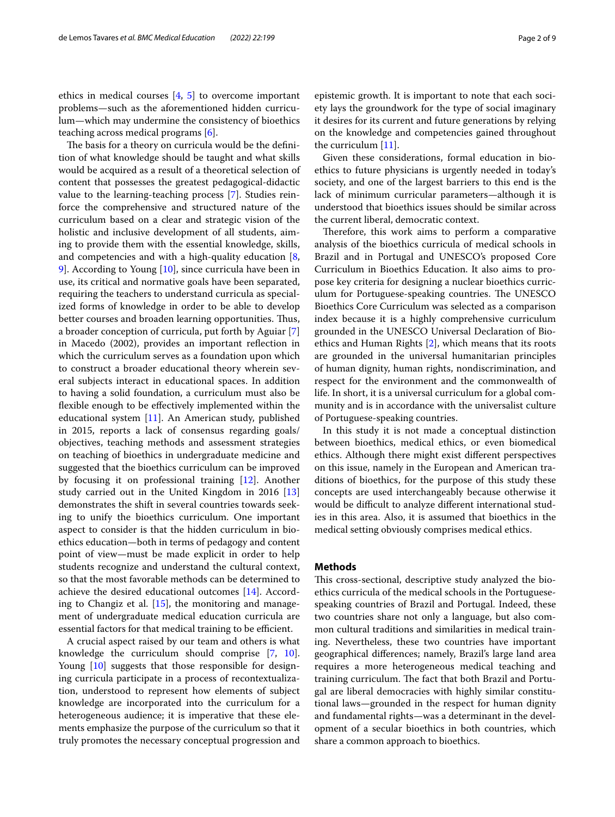ethics in medical courses [\[4](#page-8-3), [5](#page-8-4)] to overcome important problems—such as the aforementioned hidden curriculum—which may undermine the consistency of bioethics teaching across medical programs [[6\]](#page-8-5).

The basis for a theory on curricula would be the definition of what knowledge should be taught and what skills would be acquired as a result of a theoretical selection of content that possesses the greatest pedagogical-didactic value to the learning-teaching process [[7](#page-8-6)]. Studies reinforce the comprehensive and structured nature of the curriculum based on a clear and strategic vision of the holistic and inclusive development of all students, aiming to provide them with the essential knowledge, skills, and competencies and with a high-quality education [\[8](#page-8-7), [9\]](#page-8-8). According to Young [[10](#page-8-9)], since curricula have been in use, its critical and normative goals have been separated, requiring the teachers to understand curricula as specialized forms of knowledge in order to be able to develop better courses and broaden learning opportunities. Thus, a broader conception of curricula, put forth by Aguiar [\[7](#page-8-6)] in Macedo (2002), provides an important refection in which the curriculum serves as a foundation upon which to construct a broader educational theory wherein several subjects interact in educational spaces. In addition to having a solid foundation, a curriculum must also be fexible enough to be efectively implemented within the educational system [\[11](#page-8-10)]. An American study, published in 2015, reports a lack of consensus regarding goals/ objectives, teaching methods and assessment strategies on teaching of bioethics in undergraduate medicine and suggested that the bioethics curriculum can be improved by focusing it on professional training [\[12](#page-8-11)]. Another study carried out in the United Kingdom in 2016 [[13](#page-8-12)] demonstrates the shift in several countries towards seeking to unify the bioethics curriculum. One important aspect to consider is that the hidden curriculum in bioethics education—both in terms of pedagogy and content point of view—must be made explicit in order to help students recognize and understand the cultural context, so that the most favorable methods can be determined to achieve the desired educational outcomes [\[14](#page-8-13)]. According to Changiz et al.  $[15]$  $[15]$ , the monitoring and management of undergraduate medical education curricula are essential factors for that medical training to be efficient.

A crucial aspect raised by our team and others is what knowledge the curriculum should comprise [\[7](#page-8-6), [10](#page-8-9)]. Young [\[10](#page-8-9)] suggests that those responsible for designing curricula participate in a process of recontextualization, understood to represent how elements of subject knowledge are incorporated into the curriculum for a heterogeneous audience; it is imperative that these elements emphasize the purpose of the curriculum so that it truly promotes the necessary conceptual progression and epistemic growth. It is important to note that each society lays the groundwork for the type of social imaginary it desires for its current and future generations by relying on the knowledge and competencies gained throughout the curriculum [[11](#page-8-10)].

Given these considerations, formal education in bioethics to future physicians is urgently needed in today's society, and one of the largest barriers to this end is the lack of minimum curricular parameters—although it is understood that bioethics issues should be similar across the current liberal, democratic context.

Therefore, this work aims to perform a comparative analysis of the bioethics curricula of medical schools in Brazil and in Portugal and UNESCO's proposed Core Curriculum in Bioethics Education. It also aims to propose key criteria for designing a nuclear bioethics curriculum for Portuguese-speaking countries. The UNESCO Bioethics Core Curriculum was selected as a comparison index because it is a highly comprehensive curriculum grounded in the UNESCO Universal Declaration of Bioethics and Human Rights [\[2](#page-8-1)], which means that its roots are grounded in the universal humanitarian principles of human dignity, human rights, nondiscrimination, and respect for the environment and the commonwealth of life. In short, it is a universal curriculum for a global community and is in accordance with the universalist culture of Portuguese-speaking countries.

In this study it is not made a conceptual distinction between bioethics, medical ethics, or even biomedical ethics. Although there might exist diferent perspectives on this issue, namely in the European and American traditions of bioethics, for the purpose of this study these concepts are used interchangeably because otherwise it would be difficult to analyze different international studies in this area. Also, it is assumed that bioethics in the medical setting obviously comprises medical ethics.

## **Methods**

This cross-sectional, descriptive study analyzed the bioethics curricula of the medical schools in the Portuguesespeaking countries of Brazil and Portugal. Indeed, these two countries share not only a language, but also common cultural traditions and similarities in medical training. Nevertheless, these two countries have important geographical diferences; namely, Brazil's large land area requires a more heterogeneous medical teaching and training curriculum. The fact that both Brazil and Portugal are liberal democracies with highly similar constitutional laws—grounded in the respect for human dignity and fundamental rights—was a determinant in the development of a secular bioethics in both countries, which share a common approach to bioethics.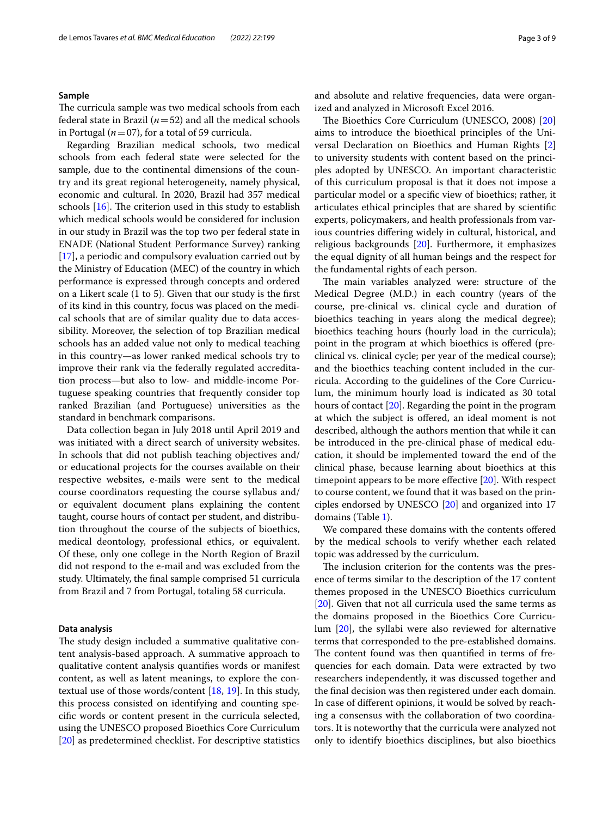## **Sample**

The curricula sample was two medical schools from each federal state in Brazil ( $n=52$ ) and all the medical schools in Portugal ( $n=07$ ), for a total of 59 curricula.

Regarding Brazilian medical schools, two medical schools from each federal state were selected for the sample, due to the continental dimensions of the country and its great regional heterogeneity, namely physical, economic and cultural. In 2020, Brazil had 357 medical schools  $[16]$  $[16]$ . The criterion used in this study to establish which medical schools would be considered for inclusion in our study in Brazil was the top two per federal state in ENADE (National Student Performance Survey) ranking [[17\]](#page-8-16), a periodic and compulsory evaluation carried out by the Ministry of Education (MEC) of the country in which performance is expressed through concepts and ordered on a Likert scale (1 to 5). Given that our study is the frst of its kind in this country, focus was placed on the medical schools that are of similar quality due to data accessibility. Moreover, the selection of top Brazilian medical schools has an added value not only to medical teaching in this country—as lower ranked medical schools try to improve their rank via the federally regulated accreditation process—but also to low- and middle-income Portuguese speaking countries that frequently consider top ranked Brazilian (and Portuguese) universities as the standard in benchmark comparisons.

Data collection began in July 2018 until April 2019 and was initiated with a direct search of university websites. In schools that did not publish teaching objectives and/ or educational projects for the courses available on their respective websites, e-mails were sent to the medical course coordinators requesting the course syllabus and/ or equivalent document plans explaining the content taught, course hours of contact per student, and distribution throughout the course of the subjects of bioethics, medical deontology, professional ethics, or equivalent. Of these, only one college in the North Region of Brazil did not respond to the e-mail and was excluded from the study. Ultimately, the fnal sample comprised 51 curricula from Brazil and 7 from Portugal, totaling 58 curricula.

## **Data analysis**

The study design included a summative qualitative content analysis-based approach. A summative approach to qualitative content analysis quantifes words or manifest content, as well as latent meanings, to explore the contextual use of those words/content [[18,](#page-8-17) [19](#page-8-18)]. In this study, this process consisted on identifying and counting specifc words or content present in the curricula selected, using the UNESCO proposed Bioethics Core Curriculum [[20\]](#page-8-19) as predetermined checklist. For descriptive statistics and absolute and relative frequencies, data were organized and analyzed in Microsoft Excel 2016.

The Bioethics Core Curriculum (UNESCO, [20](#page-8-19)08) [20] aims to introduce the bioethical principles of the Universal Declaration on Bioethics and Human Rights [\[2](#page-8-1)] to university students with content based on the principles adopted by UNESCO. An important characteristic of this curriculum proposal is that it does not impose a particular model or a specifc view of bioethics; rather, it articulates ethical principles that are shared by scientifc experts, policymakers, and health professionals from various countries difering widely in cultural, historical, and religious backgrounds [[20](#page-8-19)]. Furthermore, it emphasizes the equal dignity of all human beings and the respect for the fundamental rights of each person.

The main variables analyzed were: structure of the Medical Degree (M.D.) in each country (years of the course, pre-clinical vs. clinical cycle and duration of bioethics teaching in years along the medical degree); bioethics teaching hours (hourly load in the curricula); point in the program at which bioethics is ofered (preclinical vs. clinical cycle; per year of the medical course); and the bioethics teaching content included in the curricula. According to the guidelines of the Core Curriculum, the minimum hourly load is indicated as 30 total hours of contact [[20\]](#page-8-19). Regarding the point in the program at which the subject is ofered, an ideal moment is not described, although the authors mention that while it can be introduced in the pre-clinical phase of medical education, it should be implemented toward the end of the clinical phase, because learning about bioethics at this timepoint appears to be more efective [\[20\]](#page-8-19). With respect to course content, we found that it was based on the principles endorsed by UNESCO [\[20](#page-8-19)] and organized into 17 domains (Table [1\)](#page-3-0).

We compared these domains with the contents offered by the medical schools to verify whether each related topic was addressed by the curriculum.

The inclusion criterion for the contents was the presence of terms similar to the description of the 17 content themes proposed in the UNESCO Bioethics curriculum [[20\]](#page-8-19). Given that not all curricula used the same terms as the domains proposed in the Bioethics Core Curriculum [\[20\]](#page-8-19), the syllabi were also reviewed for alternative terms that corresponded to the pre-established domains. The content found was then quantified in terms of frequencies for each domain. Data were extracted by two researchers independently, it was discussed together and the fnal decision was then registered under each domain. In case of diferent opinions, it would be solved by reaching a consensus with the collaboration of two coordinators. It is noteworthy that the curricula were analyzed not only to identify bioethics disciplines, but also bioethics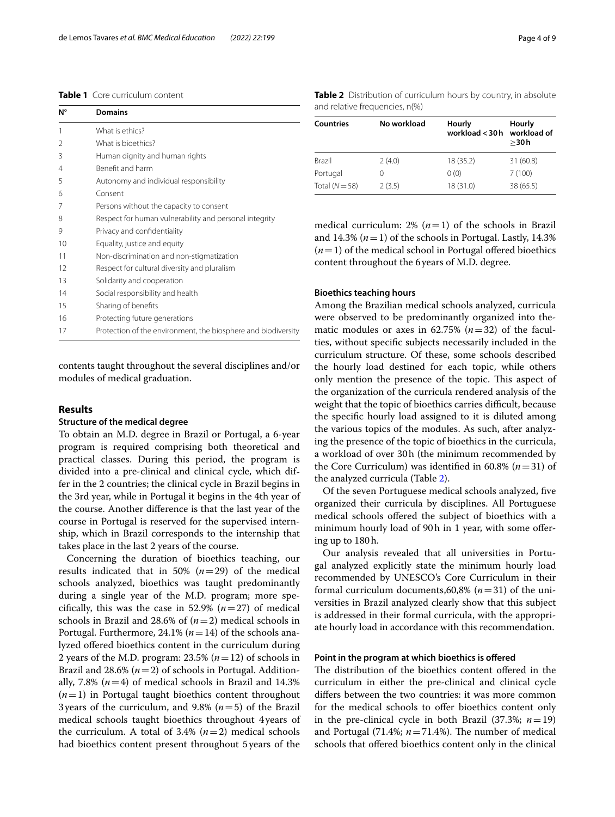## <span id="page-3-0"></span>**Table 1** Core curriculum content

| N°            | <b>Domains</b>                                                |  |  |  |  |
|---------------|---------------------------------------------------------------|--|--|--|--|
| 1             | What is ethics?                                               |  |  |  |  |
| $\mathcal{P}$ | What is bioethics?                                            |  |  |  |  |
| 3             | Human dignity and human rights                                |  |  |  |  |
| 4             | Benefit and harm                                              |  |  |  |  |
| 5             | Autonomy and individual responsibility                        |  |  |  |  |
| 6             | Consent                                                       |  |  |  |  |
| 7             | Persons without the capacity to consent                       |  |  |  |  |
| 8             | Respect for human vulnerability and personal integrity        |  |  |  |  |
| 9             | Privacy and confidentiality                                   |  |  |  |  |
| 10            | Equality, justice and equity                                  |  |  |  |  |
| 11            | Non-discrimination and non-stigmatization                     |  |  |  |  |
| 12            | Respect for cultural diversity and pluralism                  |  |  |  |  |
| 13            | Solidarity and cooperation                                    |  |  |  |  |
| 14            | Social responsibility and health                              |  |  |  |  |
| 15            | Sharing of benefits                                           |  |  |  |  |
| 16            | Protecting future generations                                 |  |  |  |  |
| 17            | Protection of the environment, the biosphere and biodiversity |  |  |  |  |

contents taught throughout the several disciplines and/or modules of medical graduation.

## **Results**

## **Structure of the medical degree**

To obtain an M.D. degree in Brazil or Portugal, a 6-year program is required comprising both theoretical and practical classes. During this period, the program is divided into a pre-clinical and clinical cycle, which differ in the 2 countries; the clinical cycle in Brazil begins in the 3rd year, while in Portugal it begins in the 4th year of the course. Another diference is that the last year of the course in Portugal is reserved for the supervised internship, which in Brazil corresponds to the internship that takes place in the last 2 years of the course.

Concerning the duration of bioethics teaching, our results indicated that in 50%  $(n=29)$  of the medical schools analyzed, bioethics was taught predominantly during a single year of the M.D. program; more specifically, this was the case in 52.9%  $(n=27)$  of medical schools in Brazil and 28.6% of (*n*=2) medical schools in Portugal. Furthermore, 24.1% (*n*=14) of the schools analyzed ofered bioethics content in the curriculum during 2 years of the M.D. program:  $23.5\%$  ( $n=12$ ) of schools in Brazil and  $28.6\%$  ( $n=2$ ) of schools in Portugal. Additionally, 7.8%  $(n=4)$  of medical schools in Brazil and 14.3%  $(n=1)$  in Portugal taught bioethics content throughout 3years of the curriculum, and 9.8% (*n*=5) of the Brazil medical schools taught bioethics throughout 4years of the curriculum. A total of  $3.4\%$  ( $n=2$ ) medical schools had bioethics content present throughout 5years of the

<span id="page-3-1"></span>

| Countries      | No workload | Hourly<br>workload $<$ 30 h | Hourly<br>workload of<br>$>$ 30 h |
|----------------|-------------|-----------------------------|-----------------------------------|
| <b>Brazil</b>  | 2(4.0)      | 18 (35.2)                   | 31 (60.8)                         |
| Portugal       | 0           | 0(0)                        | 7(100)                            |
| Total $(N=58)$ | 2(3.5)      | 18 (31.0)                   | 38 (65.5)                         |

medical curriculum: 2%  $(n=1)$  of the schools in Brazil and 14.3%  $(n=1)$  of the schools in Portugal. Lastly, 14.3%  $(n=1)$  of the medical school in Portugal offered bioethics content throughout the 6years of M.D. degree.

## **Bioethics teaching hours**

Among the Brazilian medical schools analyzed, curricula were observed to be predominantly organized into thematic modules or axes in 62.75%  $(n=32)$  of the faculties, without specifc subjects necessarily included in the curriculum structure. Of these, some schools described the hourly load destined for each topic, while others only mention the presence of the topic. This aspect of the organization of the curricula rendered analysis of the weight that the topic of bioethics carries difficult, because the specifc hourly load assigned to it is diluted among the various topics of the modules. As such, after analyzing the presence of the topic of bioethics in the curricula, a workload of over 30h (the minimum recommended by the Core Curriculum) was identified in 60.8%  $(n=31)$  of the analyzed curricula (Table [2](#page-3-1)).

Of the seven Portuguese medical schools analyzed, fve organized their curricula by disciplines. All Portuguese medical schools ofered the subject of bioethics with a minimum hourly load of 90h in 1 year, with some ofering up to 180h.

Our analysis revealed that all universities in Portugal analyzed explicitly state the minimum hourly load recommended by UNESCO's Core Curriculum in their formal curriculum documents,60,8%  $(n=31)$  of the universities in Brazil analyzed clearly show that this subject is addressed in their formal curricula, with the appropriate hourly load in accordance with this recommendation.

## **Point in the program at which bioethics is ofered**

The distribution of the bioethics content offered in the curriculum in either the pre-clinical and clinical cycle difers between the two countries: it was more common for the medical schools to offer bioethics content only in the pre-clinical cycle in both Brazil  $(37.3\%; n=19)$ and Portugal (71.4%;  $n = 71.4$ %). The number of medical schools that ofered bioethics content only in the clinical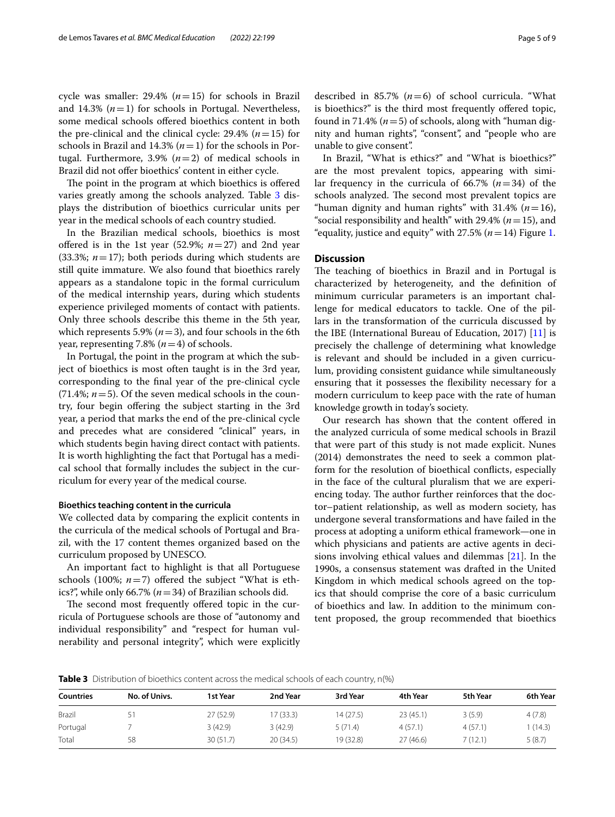cycle was smaller: 29.4% (*n*=15) for schools in Brazil and 14.3% (*n*=1) for schools in Portugal. Nevertheless, some medical schools ofered bioethics content in both the pre-clinical and the clinical cycle:  $29.4\%$  ( $n=15$ ) for schools in Brazil and 14.3% (*n*=1) for the schools in Portugal. Furthermore, 3.9%  $(n=2)$  of medical schools in Brazil did not offer bioethics' content in either cycle.

The point in the program at which bioethics is offered varies greatly among the schools analyzed. Table [3](#page-4-0) displays the distribution of bioethics curricular units per year in the medical schools of each country studied.

In the Brazilian medical schools, bioethics is most offered is in the 1st year  $(52.9\%; n=27)$  and 2nd year (33.3%; *n*=17); both periods during which students are still quite immature. We also found that bioethics rarely appears as a standalone topic in the formal curriculum of the medical internship years, during which students experience privileged moments of contact with patients. Only three schools describe this theme in the 5th year, which represents 5.9% ( $n=3$ ), and four schools in the 6th year, representing 7.8%  $(n=4)$  of schools.

In Portugal, the point in the program at which the subject of bioethics is most often taught is in the 3rd year, corresponding to the fnal year of the pre-clinical cycle  $(71.4\%; n=5)$ . Of the seven medical schools in the country, four begin ofering the subject starting in the 3rd year, a period that marks the end of the pre-clinical cycle and precedes what are considered "clinical" years, in which students begin having direct contact with patients. It is worth highlighting the fact that Portugal has a medical school that formally includes the subject in the curriculum for every year of the medical course.

## **Bioethics teaching content in the curricula**

We collected data by comparing the explicit contents in the curricula of the medical schools of Portugal and Brazil, with the 17 content themes organized based on the curriculum proposed by UNESCO.

An important fact to highlight is that all Portuguese schools (100%;  $n=7$ ) offered the subject "What is ethics?", while only 66.7% (*n*=34) of Brazilian schools did.

The second most frequently offered topic in the curricula of Portuguese schools are those of "autonomy and individual responsibility" and "respect for human vulnerability and personal integrity", which were explicitly described in 85.7%  $(n=6)$  of school curricula. "What is bioethics?" is the third most frequently ofered topic, found in 71.4% ( $n=5$ ) of schools, along with "human dignity and human rights", "consent", and "people who are unable to give consent".

In Brazil, "What is ethics?" and "What is bioethics?" are the most prevalent topics, appearing with similar frequency in the curricula of 66.7% (*n*=34) of the schools analyzed. The second most prevalent topics are "human dignity and human rights" with 31.4%  $(n=16)$ , "social responsibility and health" with 29.4% ( $n=15$ ), and "equality, justice and equity" with  $27.5\%$  ( $n=14$ ) Figure [1](#page-5-0).

## **Discussion**

The teaching of bioethics in Brazil and in Portugal is characterized by heterogeneity, and the defnition of minimum curricular parameters is an important challenge for medical educators to tackle. One of the pillars in the transformation of the curricula discussed by the IBE (International Bureau of Education, 2017) [\[11](#page-8-10)] is precisely the challenge of determining what knowledge is relevant and should be included in a given curriculum, providing consistent guidance while simultaneously ensuring that it possesses the fexibility necessary for a modern curriculum to keep pace with the rate of human knowledge growth in today's society.

Our research has shown that the content ofered in the analyzed curricula of some medical schools in Brazil that were part of this study is not made explicit. Nunes (2014) demonstrates the need to seek a common platform for the resolution of bioethical conficts, especially in the face of the cultural pluralism that we are experiencing today. The author further reinforces that the doctor–patient relationship, as well as modern society, has undergone several transformations and have failed in the process at adopting a uniform ethical framework—one in which physicians and patients are active agents in decisions involving ethical values and dilemmas [[21](#page-8-20)]. In the 1990s, a consensus statement was drafted in the United Kingdom in which medical schools agreed on the topics that should comprise the core of a basic curriculum of bioethics and law. In addition to the minimum content proposed, the group recommended that bioethics

<span id="page-4-0"></span>**Table 3** Distribution of bioethics content across the medical schools of each country, n(%)

| <b>Countries</b> | No. of Univs. | 1st Year  | 2nd Year  | 3rd Year  | 4th Year | 5th Year | 6th Year |
|------------------|---------------|-----------|-----------|-----------|----------|----------|----------|
| Brazil           |               | 27 (52.9) | 17 (33.3) | 14 (27.5) | 23(45.1) | 3(5.9)   | 4(7.8)   |
| Portugal         |               | 3(42.9)   | 3(42.9)   | 5(71.4)   | 4(57.1)  | 4(57.1)  | (14.3)   |
| Total            | 58            | 30(51.7)  | 20(34.5)  | 19 (32.8) | 27(46.6) | 7 (12.1) | 5(8.7)   |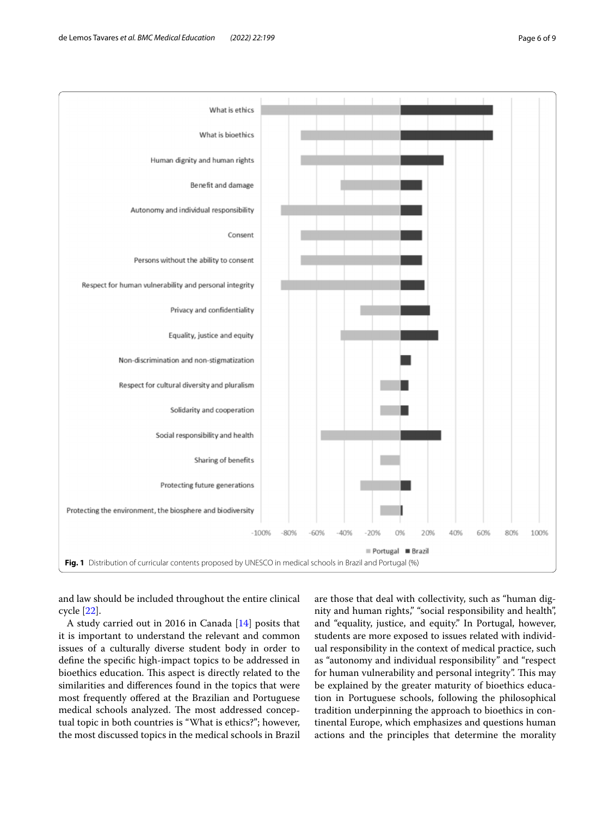

<span id="page-5-0"></span>and law should be included throughout the entire clinical cycle [[22\]](#page-8-21).

A study carried out in 2016 in Canada [\[14\]](#page-8-13) posits that it is important to understand the relevant and common issues of a culturally diverse student body in order to defne the specifc high-impact topics to be addressed in bioethics education. This aspect is directly related to the similarities and diferences found in the topics that were most frequently offered at the Brazilian and Portuguese medical schools analyzed. The most addressed conceptual topic in both countries is "What is ethics?"; however, the most discussed topics in the medical schools in Brazil

are those that deal with collectivity, such as "human dignity and human rights," "social responsibility and health", and "equality, justice, and equity." In Portugal, however, students are more exposed to issues related with individual responsibility in the context of medical practice, such as "autonomy and individual responsibility" and "respect for human vulnerability and personal integrity". This may be explained by the greater maturity of bioethics education in Portuguese schools, following the philosophical tradition underpinning the approach to bioethics in continental Europe, which emphasizes and questions human actions and the principles that determine the morality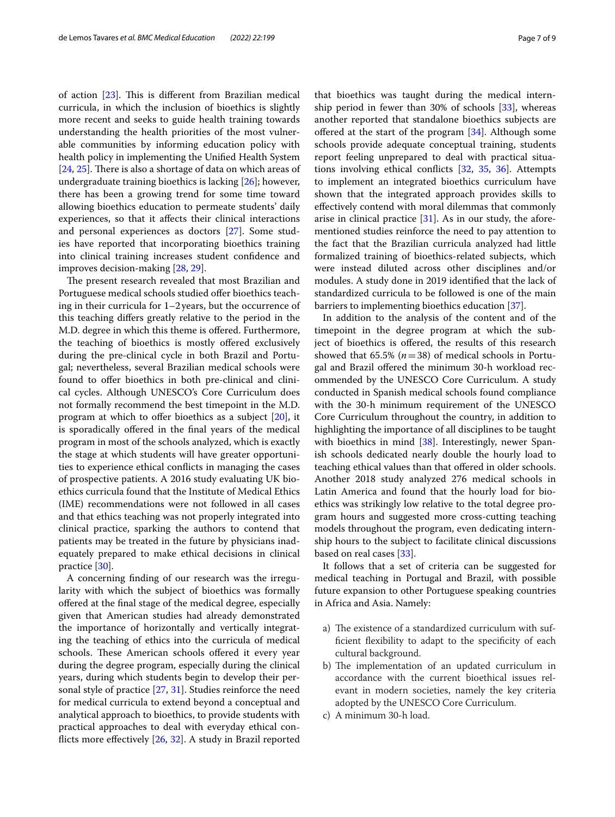of action  $[23]$ . This is different from Brazilian medical curricula, in which the inclusion of bioethics is slightly more recent and seeks to guide health training towards understanding the health priorities of the most vulnerable communities by informing education policy with health policy in implementing the Unifed Health System  $[24, 25]$  $[24, 25]$  $[24, 25]$  $[24, 25]$ . There is also a shortage of data on which areas of undergraduate training bioethics is lacking [[26](#page-8-25)]; however, there has been a growing trend for some time toward allowing bioethics education to permeate students' daily experiences, so that it afects their clinical interactions and personal experiences as doctors [[27](#page-8-26)]. Some studies have reported that incorporating bioethics training into clinical training increases student confdence and improves decision-making [\[28](#page-8-27), [29\]](#page-8-28).

The present research revealed that most Brazilian and Portuguese medical schools studied offer bioethics teaching in their curricula for 1–2years, but the occurrence of this teaching difers greatly relative to the period in the M.D. degree in which this theme is ofered. Furthermore, the teaching of bioethics is mostly offered exclusively during the pre-clinical cycle in both Brazil and Portugal; nevertheless, several Brazilian medical schools were found to ofer bioethics in both pre-clinical and clinical cycles. Although UNESCO's Core Curriculum does not formally recommend the best timepoint in the M.D. program at which to offer bioethics as a subject  $[20]$  $[20]$ , it is sporadically ofered in the fnal years of the medical program in most of the schools analyzed, which is exactly the stage at which students will have greater opportunities to experience ethical conficts in managing the cases of prospective patients. A 2016 study evaluating UK bioethics curricula found that the Institute of Medical Ethics (IME) recommendations were not followed in all cases and that ethics teaching was not properly integrated into clinical practice, sparking the authors to contend that patients may be treated in the future by physicians inadequately prepared to make ethical decisions in clinical practice [[30\]](#page-8-29).

A concerning fnding of our research was the irregularity with which the subject of bioethics was formally ofered at the fnal stage of the medical degree, especially given that American studies had already demonstrated the importance of horizontally and vertically integrating the teaching of ethics into the curricula of medical schools. These American schools offered it every year during the degree program, especially during the clinical years, during which students begin to develop their personal style of practice [[27,](#page-8-26) [31](#page-8-30)]. Studies reinforce the need for medical curricula to extend beyond a conceptual and analytical approach to bioethics, to provide students with practical approaches to deal with everyday ethical conficts more efectively [\[26](#page-8-25), [32\]](#page-8-31). A study in Brazil reported that bioethics was taught during the medical internship period in fewer than 30% of schools [\[33](#page-8-32)], whereas another reported that standalone bioethics subjects are ofered at the start of the program [\[34](#page-8-33)]. Although some schools provide adequate conceptual training, students report feeling unprepared to deal with practical situations involving ethical conficts [[32,](#page-8-31) [35](#page-8-34), [36](#page-8-35)]. Attempts to implement an integrated bioethics curriculum have shown that the integrated approach provides skills to efectively contend with moral dilemmas that commonly arise in clinical practice [[31\]](#page-8-30). As in our study, the aforementioned studies reinforce the need to pay attention to the fact that the Brazilian curricula analyzed had little formalized training of bioethics-related subjects, which were instead diluted across other disciplines and/or modules. A study done in 2019 identifed that the lack of standardized curricula to be followed is one of the main barriers to implementing bioethics education [[37](#page-8-36)].

In addition to the analysis of the content and of the timepoint in the degree program at which the subject of bioethics is ofered, the results of this research showed that 65.5% (*n*=38) of medical schools in Portugal and Brazil ofered the minimum 30-h workload recommended by the UNESCO Core Curriculum. A study conducted in Spanish medical schools found compliance with the 30-h minimum requirement of the UNESCO Core Curriculum throughout the country, in addition to highlighting the importance of all disciplines to be taught with bioethics in mind [\[38\]](#page-8-37). Interestingly, newer Spanish schools dedicated nearly double the hourly load to teaching ethical values than that ofered in older schools. Another 2018 study analyzed 276 medical schools in Latin America and found that the hourly load for bioethics was strikingly low relative to the total degree program hours and suggested more cross-cutting teaching models throughout the program, even dedicating internship hours to the subject to facilitate clinical discussions based on real cases [[33\]](#page-8-32).

It follows that a set of criteria can be suggested for medical teaching in Portugal and Brazil, with possible future expansion to other Portuguese speaking countries in Africa and Asia. Namely:

- a) The existence of a standardized curriculum with suffcient fexibility to adapt to the specifcity of each cultural background.
- b) The implementation of an updated curriculum in accordance with the current bioethical issues relevant in modern societies, namely the key criteria adopted by the UNESCO Core Curriculum.
- c) A minimum 30-h load.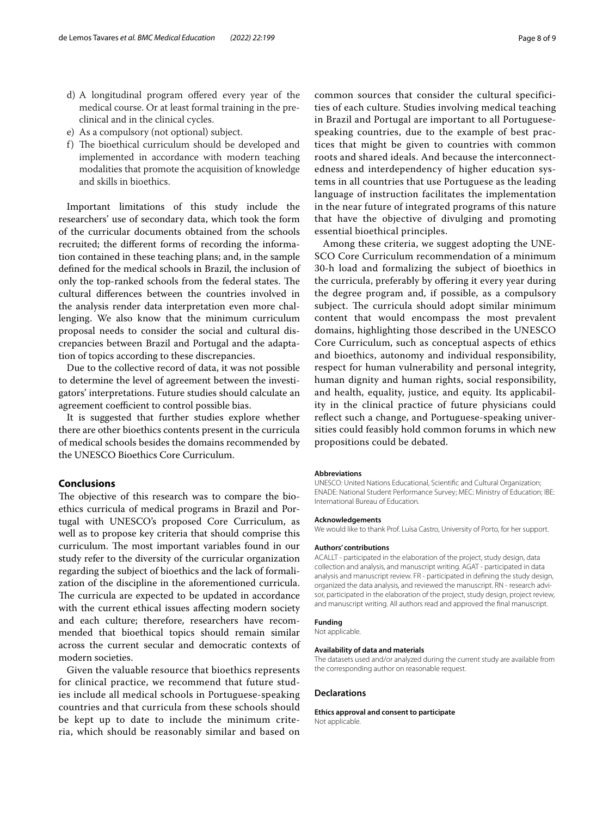- d) A longitudinal program ofered every year of the medical course. Or at least formal training in the preclinical and in the clinical cycles.
- e) As a compulsory (not optional) subject.
- f) The bioethical curriculum should be developed and implemented in accordance with modern teaching modalities that promote the acquisition of knowledge and skills in bioethics.

Important limitations of this study include the researchers' use of secondary data, which took the form of the curricular documents obtained from the schools recruited; the diferent forms of recording the information contained in these teaching plans; and, in the sample defned for the medical schools in Brazil, the inclusion of only the top-ranked schools from the federal states. The cultural diferences between the countries involved in the analysis render data interpretation even more challenging. We also know that the minimum curriculum proposal needs to consider the social and cultural discrepancies between Brazil and Portugal and the adaptation of topics according to these discrepancies.

Due to the collective record of data, it was not possible to determine the level of agreement between the investigators' interpretations. Future studies should calculate an agreement coefficient to control possible bias.

It is suggested that further studies explore whether there are other bioethics contents present in the curricula of medical schools besides the domains recommended by the UNESCO Bioethics Core Curriculum.

## **Conclusions**

The objective of this research was to compare the bioethics curricula of medical programs in Brazil and Portugal with UNESCO's proposed Core Curriculum, as well as to propose key criteria that should comprise this curriculum. The most important variables found in our study refer to the diversity of the curricular organization regarding the subject of bioethics and the lack of formalization of the discipline in the aforementioned curricula. The curricula are expected to be updated in accordance with the current ethical issues afecting modern society and each culture; therefore, researchers have recommended that bioethical topics should remain similar across the current secular and democratic contexts of modern societies.

Given the valuable resource that bioethics represents for clinical practice, we recommend that future studies include all medical schools in Portuguese-speaking countries and that curricula from these schools should be kept up to date to include the minimum criteria, which should be reasonably similar and based on common sources that consider the cultural specificities of each culture. Studies involving medical teaching in Brazil and Portugal are important to all Portuguesespeaking countries, due to the example of best practices that might be given to countries with common roots and shared ideals. And because the interconnectedness and interdependency of higher education systems in all countries that use Portuguese as the leading language of instruction facilitates the implementation in the near future of integrated programs of this nature that have the objective of divulging and promoting essential bioethical principles.

Among these criteria, we suggest adopting the UNE-SCO Core Curriculum recommendation of a minimum 30-h load and formalizing the subject of bioethics in the curricula, preferably by offering it every year during the degree program and, if possible, as a compulsory subject. The curricula should adopt similar minimum content that would encompass the most prevalent domains, highlighting those described in the UNESCO Core Curriculum, such as conceptual aspects of ethics and bioethics, autonomy and individual responsibility, respect for human vulnerability and personal integrity, human dignity and human rights, social responsibility, and health, equality, justice, and equity. Its applicability in the clinical practice of future physicians could refect such a change, and Portuguese-speaking universities could feasibly hold common forums in which new propositions could be debated.

#### **Abbreviations**

UNESCO: United Nations Educational, Scientifc and Cultural Organization; ENADE: National Student Performance Survey; MEC: Ministry of Education; IBE: International Bureau of Education.

#### **Acknowledgements**

We would like to thank Prof. Luísa Castro, University of Porto, for her support.

#### **Authors' contributions**

ACALLT - participated in the elaboration of the project, study design, data collection and analysis, and manuscript writing. AGAT - participated in data analysis and manuscript review. FR - participated in defning the study design, organized the data analysis, and reviewed the manuscript. RN - research advisor, participated in the elaboration of the project, study design, project review, and manuscript writing. All authors read and approved the fnal manuscript.

## **Funding**

Not applicable.

#### **Availability of data and materials**

The datasets used and/or analyzed during the current study are available from the corresponding author on reasonable request.

#### **Declarations**

**Ethics approval and consent to participate** Not applicable.